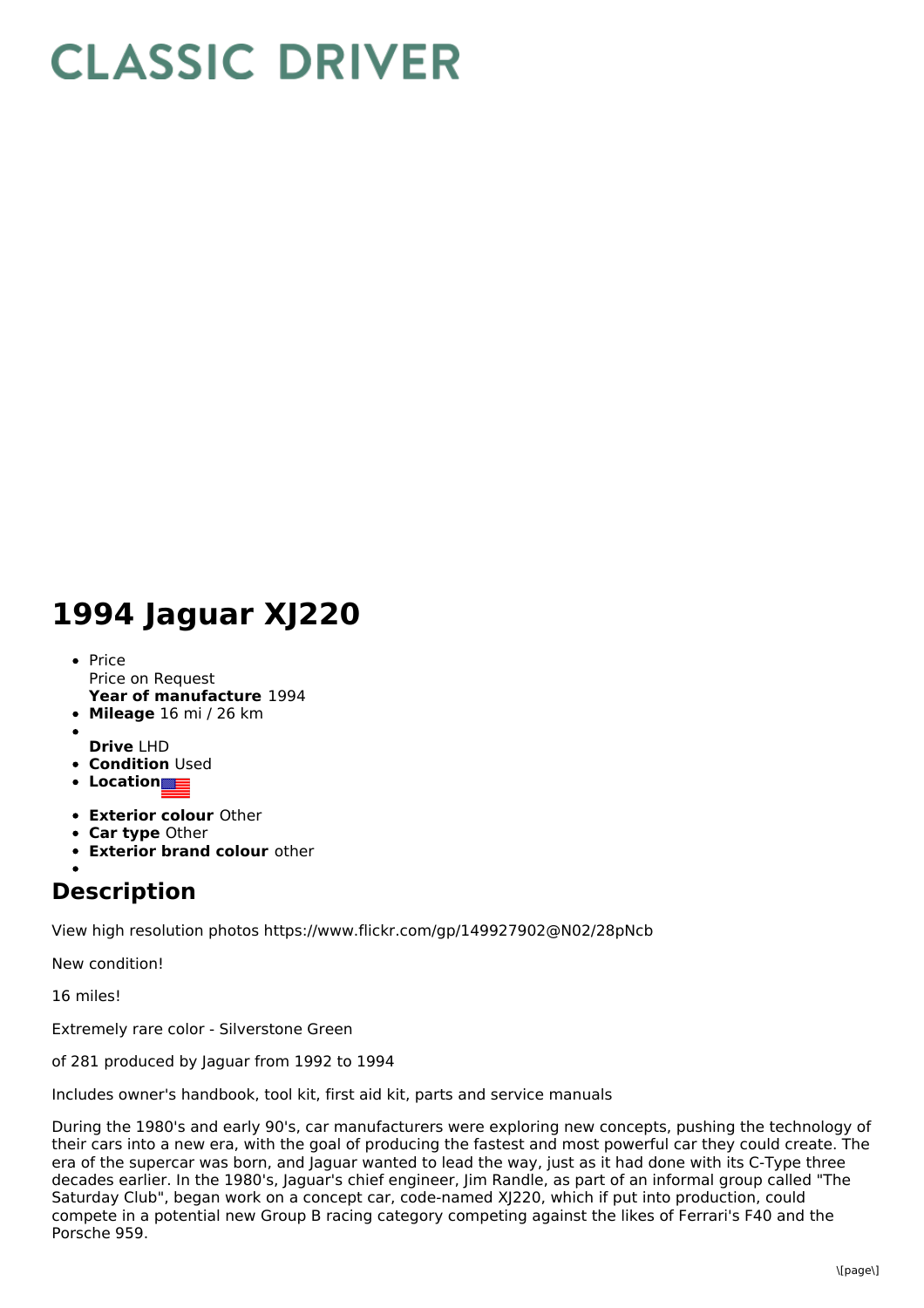## **CLASSIC DRIVER**

## **1994 Jaguar XJ220**

- **Year of manufacture** 1994 • Price Price on Request
- **Mileage** 16 mi / 26 km
- **Drive** LHD
- **Condition** Used
- **Location**
- **Exterior colour** Other
- **Car type** Other
- **Exterior brand colour** other

## **Description**

View high resolution photos https://www.flickr.com/gp/149927902@N02/28pNcb

New condition!

16 miles!

Extremely rare color - Silverstone Green

of 281 produced by Jaguar from 1992 to 1994

Includes owner's handbook, tool kit, first aid kit, parts and service manuals

During the 1980's and early 90's, car manufacturers were exploring new concepts, pushing the technology of their cars into a new era, with the goal of producing the fastest and most powerful car they could create. The era of the supercar was born, and Jaguar wanted to lead the way, just as it had done with its C-Type three decades earlier. In the 1980's, Jaguar's chief engineer, Jim Randle, as part of an informal group called "The Saturday Club", began work on a concept car, code-named XJ220, which if put into production, could compete in a potential new Group B racing category competing against the likes of Ferrari's F40 and the Porsche 959.